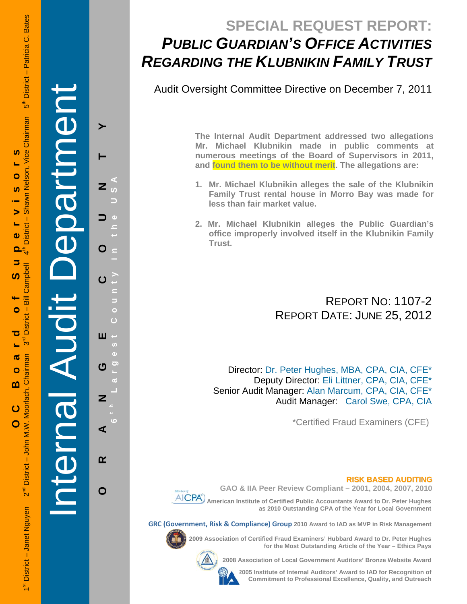# **SPECIAL REQUEST REPORT:** *PUBLIC GUARDIAN'S OFFICE ACTIVITIES REGARDING THE KLUBNIKIN FAMILY TRUST*

Audit Oversight Committee Directive on December 7, 2011

**The Internal Audit Department addressed two allegations Mr. Michael Klubnikin made in public comments at numerous meetings of the Board of Supervisors in 2011, and found them to be without merit. The allegations are:** 

- **1. Mr. Michael Klubnikin alleges the sale of the Klubnikin Family Trust rental house in Morro Bay was made for less than fair market value.**
- **2. Mr. Michael Klubnikin alleges the Public Guardian's office improperly involved itself in the Klubnikin Family Trust.**

# REPORT NO: 1107-2 REPORT DATE: JUNE 25, 2012

Director: Dr. Peter Hughes, MBA, CPA, CIA, CFE\* Deputy Director: Eli Littner, CPA, CIA, CFE\* Senior Audit Manager: Alan Marcum, CPA, CIA, CFE\* Audit Manager: Carol Swe, CPA, CIA

\*Certified Fraud Examiners (CFE)

#### **RISK BASED AUDITING**





**AICPA** American Institute of Certified Public Accountants Award to Dr. Peter Hughes **as 2010 Outstanding CPA of the Year for Local Government** 

**GRC (Government, Risk & Compliance) Group 2010 Award to IAD as MVP in Risk Management** 

**2009 Association of Certified Fraud Examiners' Hubbard Award to Dr. Peter Hughes for the Most Outstanding Article of the Year – Ethics Pays** 

**2008 Association of Local Government Auditors' Bronze Website Award** 

**2005 Institute of Internal Auditors' Award to IAD for Recognition of Commitment to Professional Excellence, Quality, and Outreach**

**ORANGE COUNTY 6 t h Largest County in the USA** z  $\overline{u}$  $\sqrt{2}$ O  $\epsilon$  $\overline{c}$ C Б  $\ddot{\circ}$ Ò Ш  $\overline{15}$  $\ddot{\text{o}}$  $\overline{O}$ U  $\overline{w}$ Z  $\ddot{\circ}$ ⋖  $\alpha$  $\mathbf O$ 

Internal Audit Department

S

 $\overline{A}$ 

 $\overline{\overline{c}}$ 

Ier

**Dartmen**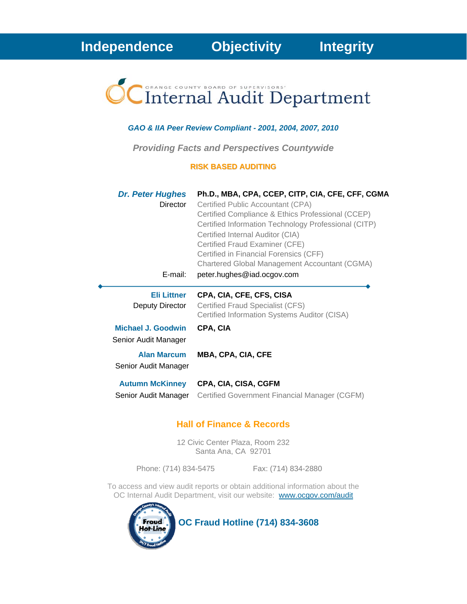

#### *GAO & IIA Peer Review Compliant - 2001, 2004, 2007, 2010*

*Providing Facts and Perspectives Countywide* 

#### **RISK BASED AUDITING**

| <b>Dr. Peter Hughes</b><br><b>Director</b><br>E-mail: | Ph.D., MBA, CPA, CCEP, CITP, CIA, CFE, CFF, CGMA<br>Certified Public Accountant (CPA)<br>Certified Compliance & Ethics Professional (CCEP)<br>Certified Information Technology Professional (CITP)<br>Certified Internal Auditor (CIA)<br>Certified Fraud Examiner (CFE)<br>Certified in Financial Forensics (CFF)<br><b>Chartered Global Management Accountant (CGMA)</b><br>peter.hughes@iad.ocgov.com |
|-------------------------------------------------------|----------------------------------------------------------------------------------------------------------------------------------------------------------------------------------------------------------------------------------------------------------------------------------------------------------------------------------------------------------------------------------------------------------|
| <b>Eli Littner</b><br>Deputy Director                 | CPA, CIA, CFE, CFS, CISA<br>Certified Fraud Specialist (CFS)<br>Certified Information Systems Auditor (CISA)                                                                                                                                                                                                                                                                                             |
| Michael J. Goodwin<br>Senior Audit Manager            | CPA, CIA                                                                                                                                                                                                                                                                                                                                                                                                 |
| <b>Alan Marcum</b><br>Senior Audit Manager            | MBA, CPA, CIA, CFE                                                                                                                                                                                                                                                                                                                                                                                       |
| <b>Autumn McKinney</b><br>Senior Audit Manager        | CPA, CIA, CISA, CGFM<br>Certified Government Financial Manager (CGFM)                                                                                                                                                                                                                                                                                                                                    |

#### **Hall of Finance & Records**

12 Civic Center Plaza, Room 232 Santa Ana, CA 92701

Phone: (714) 834-5475 Fax: (714) 834-2880

To access and view audit reports or obtain additional information about the OC Internal Audit Department, visit our website: www.ocgov.com/audit



**OC Fraud Hotline (714) 834-3608**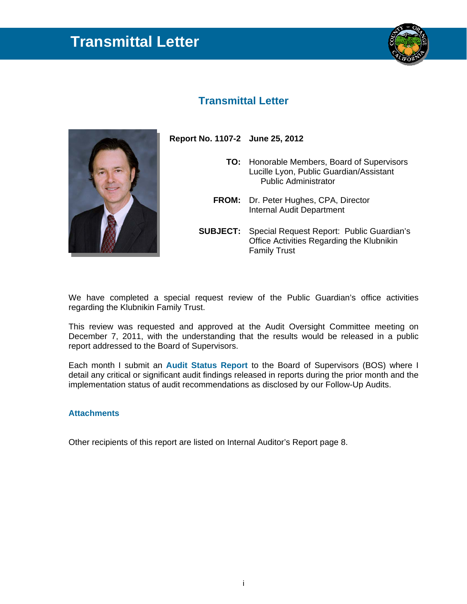# **Transmittal Letter**



### **Transmittal Letter**



 **Report No. 1107-2 June 25, 2012 TO:** Honorable Members, Board of Supervisors Lucille Lyon, Public Guardian/Assistant Public Administrator

- **FROM:** Dr. Peter Hughes, CPA, Director Internal Audit Department
- **SUBJECT:** Special Request Report: Public Guardian's Office Activities Regarding the Klubnikin Family Trust

We have completed a special request review of the Public Guardian's office activities regarding the Klubnikin Family Trust.

This review was requested and approved at the Audit Oversight Committee meeting on December 7, 2011, with the understanding that the results would be released in a public report addressed to the Board of Supervisors.

Each month I submit an **Audit Status Report** to the Board of Supervisors (BOS) where I detail any critical or significant audit findings released in reports during the prior month and the implementation status of audit recommendations as disclosed by our Follow-Up Audits.

#### **Attachments**

Other recipients of this report are listed on Internal Auditor's Report page 8.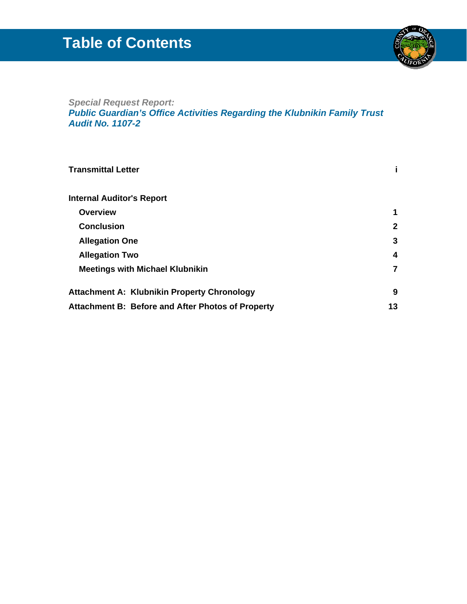# **Table of Contents**



### *Special Request Report: Public Guardian's Office Activities Regarding the Klubnikin Family Trust Audit No. 1107-2*

| <b>Transmittal Letter</b>                          |             |
|----------------------------------------------------|-------------|
| <b>Internal Auditor's Report</b>                   |             |
| <b>Overview</b>                                    | 1           |
| <b>Conclusion</b>                                  | $\mathbf 2$ |
| <b>Allegation One</b>                              | 3           |
| <b>Allegation Two</b>                              | 4           |
| <b>Meetings with Michael Klubnikin</b>             | 7           |
| <b>Attachment A: Klubnikin Property Chronology</b> | 9           |
| Attachment B: Before and After Photos of Property  | 13          |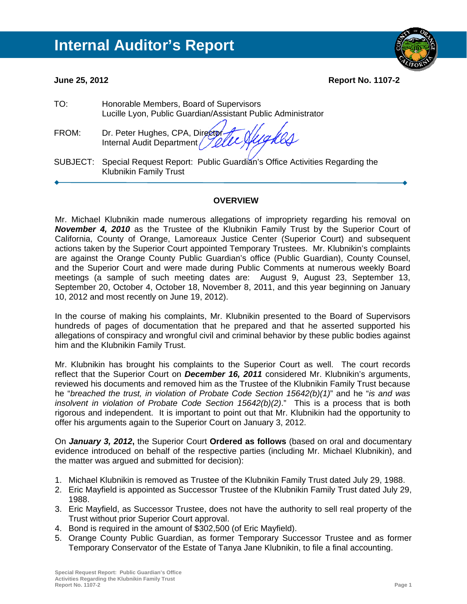**June 25, 2012 Report No. 1107-2** 

| TO:   | Honorable Members, Board of Supervisors<br>Lucille Lyon, Public Guardian/Assistant Public Administrator                                                                                                                        |
|-------|--------------------------------------------------------------------------------------------------------------------------------------------------------------------------------------------------------------------------------|
| FROM: | Dr. Peter Hughes, CPA, Director fully of the Sun Director of the Sun of the Sun of the Sun of the Sun of the Sun of the Sun of the Sun of the Sun of the Sun of the Sun of the Sun of the Sun of the Sun of the Sun of the Sun |
|       | SUBJECT: Special Request Report: Public Guardian's Office Activities Regarding the<br><b>Klubnikin Family Trust</b>                                                                                                            |
|       |                                                                                                                                                                                                                                |

#### **OVERVIEW**

Mr. Michael Klubnikin made numerous allegations of impropriety regarding his removal on *November 4, 2010* as the Trustee of the Klubnikin Family Trust by the Superior Court of California, County of Orange, Lamoreaux Justice Center (Superior Court) and subsequent actions taken by the Superior Court appointed Temporary Trustees. Mr. Klubnikin's complaints are against the Orange County Public Guardian's office (Public Guardian), County Counsel, and the Superior Court and were made during Public Comments at numerous weekly Board meetings (a sample of such meeting dates are: August 9, August 23, September 13, September 20, October 4, October 18, November 8, 2011, and this year beginning on January 10, 2012 and most recently on June 19, 2012).

In the course of making his complaints, Mr. Klubnikin presented to the Board of Supervisors hundreds of pages of documentation that he prepared and that he asserted supported his allegations of conspiracy and wrongful civil and criminal behavior by these public bodies against him and the Klubnikin Family Trust.

Mr. Klubnikin has brought his complaints to the Superior Court as well. The court records reflect that the Superior Court on *December 16, 2011* considered Mr. Klubnikin's arguments, reviewed his documents and removed him as the Trustee of the Klubnikin Family Trust because he "*breached the trust, in violation of Probate Code Section 15642(b)(1)*" and he "*is and was insolvent in violation of Probate Code Section 15642(b)(2)*." This is a process that is both rigorous and independent. It is important to point out that Mr. Klubnikin had the opportunity to offer his arguments again to the Superior Court on January 3, 2012.

On *January 3, 2012***,** the Superior Court **Ordered as follows** (based on oral and documentary evidence introduced on behalf of the respective parties (including Mr. Michael Klubnikin), and the matter was argued and submitted for decision):

- 1. Michael Klubnikin is removed as Trustee of the Klubnikin Family Trust dated July 29, 1988.
- 2. Eric Mayfield is appointed as Successor Trustee of the Klubnikin Family Trust dated July 29, 1988.
- 3. Eric Mayfield, as Successor Trustee, does not have the authority to sell real property of the Trust without prior Superior Court approval.
- 4. Bond is required in the amount of \$302,500 (of Eric Mayfield).
- 5. Orange County Public Guardian, as former Temporary Successor Trustee and as former Temporary Conservator of the Estate of Tanya Jane Klubnikin, to file a final accounting.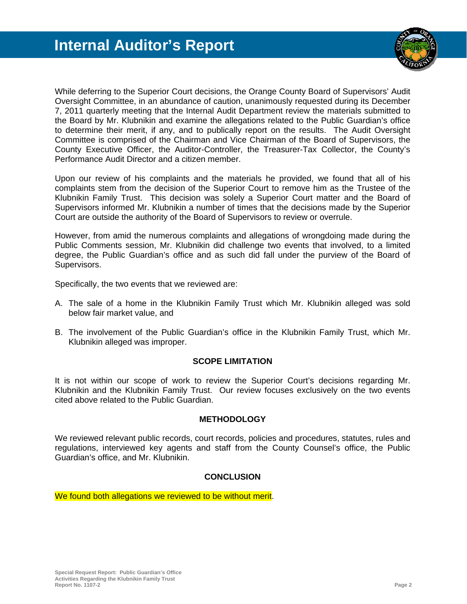

While deferring to the Superior Court decisions, the Orange County Board of Supervisors' Audit Oversight Committee, in an abundance of caution, unanimously requested during its December 7, 2011 quarterly meeting that the Internal Audit Department review the materials submitted to the Board by Mr. Klubnikin and examine the allegations related to the Public Guardian's office to determine their merit, if any, and to publically report on the results. The Audit Oversight Committee is comprised of the Chairman and Vice Chairman of the Board of Supervisors, the County Executive Officer, the Auditor-Controller, the Treasurer-Tax Collector, the County's Performance Audit Director and a citizen member.

Upon our review of his complaints and the materials he provided, we found that all of his complaints stem from the decision of the Superior Court to remove him as the Trustee of the Klubnikin Family Trust. This decision was solely a Superior Court matter and the Board of Supervisors informed Mr. Klubnikin a number of times that the decisions made by the Superior Court are outside the authority of the Board of Supervisors to review or overrule.

However, from amid the numerous complaints and allegations of wrongdoing made during the Public Comments session, Mr. Klubnikin did challenge two events that involved, to a limited degree, the Public Guardian's office and as such did fall under the purview of the Board of Supervisors.

Specifically, the two events that we reviewed are:

- A. The sale of a home in the Klubnikin Family Trust which Mr. Klubnikin alleged was sold below fair market value, and
- B. The involvement of the Public Guardian's office in the Klubnikin Family Trust, which Mr. Klubnikin alleged was improper.

#### **SCOPE LIMITATION**

It is not within our scope of work to review the Superior Court's decisions regarding Mr. Klubnikin and the Klubnikin Family Trust. Our review focuses exclusively on the two events cited above related to the Public Guardian.

#### **METHODOLOGY**

We reviewed relevant public records, court records, policies and procedures, statutes, rules and regulations, interviewed key agents and staff from the County Counsel's office, the Public Guardian's office, and Mr. Klubnikin.

#### **CONCLUSION**

We found both allegations we reviewed to be without merit.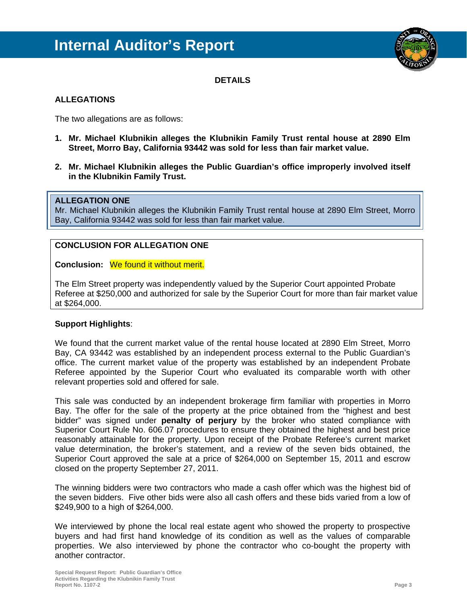

**DETAILS** 

#### **ALLEGATIONS**

The two allegations are as follows:

- **1. Mr. Michael Klubnikin alleges the Klubnikin Family Trust rental house at 2890 Elm Street, Morro Bay, California 93442 was sold for less than fair market value.**
- **2. Mr. Michael Klubnikin alleges the Public Guardian's office improperly involved itself in the Klubnikin Family Trust.**

#### **ALLEGATION ONE**

Mr. Michael Klubnikin alleges the Klubnikin Family Trust rental house at 2890 Elm Street, Morro Bay, California 93442 was sold for less than fair market value.

#### **CONCLUSION FOR ALLEGATION ONE**

**Conclusion:** We found it without merit.

The Elm Street property was independently valued by the Superior Court appointed Probate Referee at \$250,000 and authorized for sale by the Superior Court for more than fair market value at \$264,000.

#### **Support Highlights**:

We found that the current market value of the rental house located at 2890 Elm Street, Morro Bay, CA 93442 was established by an independent process external to the Public Guardian's office. The current market value of the property was established by an independent Probate Referee appointed by the Superior Court who evaluated its comparable worth with other relevant properties sold and offered for sale.

This sale was conducted by an independent brokerage firm familiar with properties in Morro Bay. The offer for the sale of the property at the price obtained from the "highest and best bidder" was signed under **penalty of perjury** by the broker who stated compliance with Superior Court Rule No. 606.07 procedures to ensure they obtained the highest and best price reasonably attainable for the property. Upon receipt of the Probate Referee's current market value determination, the broker's statement, and a review of the seven bids obtained, the Superior Court approved the sale at a price of \$264,000 on September 15, 2011 and escrow closed on the property September 27, 2011.

The winning bidders were two contractors who made a cash offer which was the highest bid of the seven bidders. Five other bids were also all cash offers and these bids varied from a low of \$249,900 to a high of \$264,000.

We interviewed by phone the local real estate agent who showed the property to prospective buyers and had first hand knowledge of its condition as well as the values of comparable properties. We also interviewed by phone the contractor who co-bought the property with another contractor.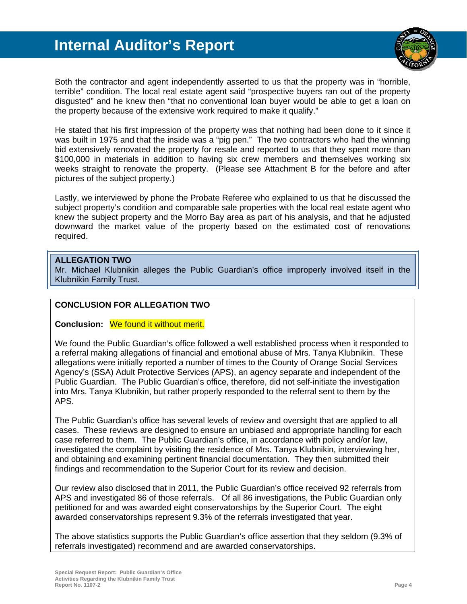

Both the contractor and agent independently asserted to us that the property was in "horrible, terrible" condition. The local real estate agent said "prospective buyers ran out of the property disgusted" and he knew then "that no conventional loan buyer would be able to get a loan on the property because of the extensive work required to make it qualify."

He stated that his first impression of the property was that nothing had been done to it since it was built in 1975 and that the inside was a "pig pen." The two contractors who had the winning bid extensively renovated the property for resale and reported to us that they spent more than \$100,000 in materials in addition to having six crew members and themselves working six weeks straight to renovate the property. (Please see Attachment B for the before and after pictures of the subject property.)

Lastly, we interviewed by phone the Probate Referee who explained to us that he discussed the subject property's condition and comparable sale properties with the local real estate agent who knew the subject property and the Morro Bay area as part of his analysis, and that he adjusted downward the market value of the property based on the estimated cost of renovations required.

#### **ALLEGATION TWO**

Mr. Michael Klubnikin alleges the Public Guardian's office improperly involved itself in the Klubnikin Family Trust.

#### **CONCLUSION FOR ALLEGATION TWO**

**Conclusion:** We found it without merit.

We found the Public Guardian's office followed a well established process when it responded to a referral making allegations of financial and emotional abuse of Mrs. Tanya Klubnikin. These allegations were initially reported a number of times to the County of Orange Social Services Agency's (SSA) Adult Protective Services (APS), an agency separate and independent of the Public Guardian. The Public Guardian's office, therefore, did not self-initiate the investigation into Mrs. Tanya Klubnikin, but rather properly responded to the referral sent to them by the APS.

The Public Guardian's office has several levels of review and oversight that are applied to all cases. These reviews are designed to ensure an unbiased and appropriate handling for each case referred to them. The Public Guardian's office, in accordance with policy and/or law, investigated the complaint by visiting the residence of Mrs. Tanya Klubnikin, interviewing her, and obtaining and examining pertinent financial documentation. They then submitted their findings and recommendation to the Superior Court for its review and decision.

Our review also disclosed that in 2011, the Public Guardian's office received 92 referrals from APS and investigated 86 of those referrals. Of all 86 investigations, the Public Guardian only petitioned for and was awarded eight conservatorships by the Superior Court. The eight awarded conservatorships represent 9.3% of the referrals investigated that year.

The above statistics supports the Public Guardian's office assertion that they seldom (9.3% of referrals investigated) recommend and are awarded conservatorships.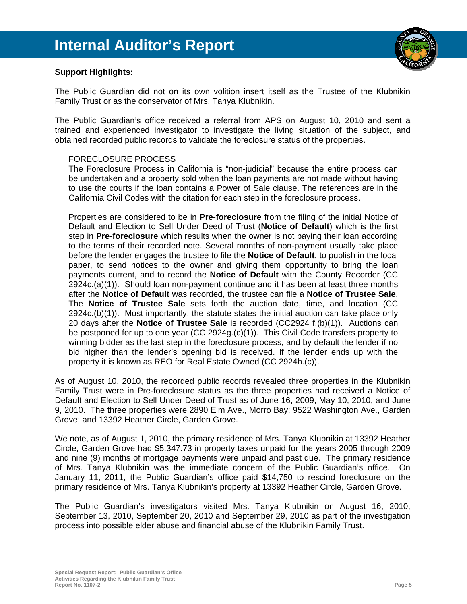

#### **Support Highlights:**

The Public Guardian did not on its own volition insert itself as the Trustee of the Klubnikin Family Trust or as the conservator of Mrs. Tanya Klubnikin.

The Public Guardian's office received a referral from APS on August 10, 2010 and sent a trained and experienced investigator to investigate the living situation of the subject, and obtained recorded public records to validate the foreclosure status of the properties.

#### FORECLOSURE PROCESS

The Foreclosure Process in California is "non-judicial" because the entire process can be undertaken and a property sold when the loan payments are not made without having to use the courts if the loan contains a Power of Sale clause. The references are in the California Civil Codes with the citation for each step in the foreclosure process.

Properties are considered to be in **Pre-foreclosure** from the filing of the initial Notice of Default and Election to Sell Under Deed of Trust (**Notice of Default**) which is the first step in **Pre-foreclosure** which results when the owner is not paying their loan according to the terms of their recorded note. Several months of non-payment usually take place before the lender engages the trustee to file the **Notice of Default**, to publish in the local paper, to send notices to the owner and giving them opportunity to bring the loan payments current, and to record the **Notice of Default** with the County Recorder (CC 2924c.(a)(1)). Should loan non-payment continue and it has been at least three months after the **Notice of Default** was recorded, the trustee can file a **Notice of Trustee Sale**. The **Notice of Trustee Sale** sets forth the auction date, time, and location (CC 2924c.(b)(1)). Most importantly, the statute states the initial auction can take place only 20 days after the **Notice of Trustee Sale** is recorded (CC2924 f.(b)(1)). Auctions can be postponed for up to one year (CC 2924g.(c)(1)). This Civil Code transfers property to winning bidder as the last step in the foreclosure process, and by default the lender if no bid higher than the lender's opening bid is received. If the lender ends up with the property it is known as REO for Real Estate Owned (CC 2924h.(c)).

As of August 10, 2010, the recorded public records revealed three properties in the Klubnikin Family Trust were in Pre-foreclosure status as the three properties had received a Notice of Default and Election to Sell Under Deed of Trust as of June 16, 2009, May 10, 2010, and June 9, 2010. The three properties were 2890 Elm Ave., Morro Bay; 9522 Washington Ave., Garden Grove; and 13392 Heather Circle, Garden Grove.

We note, as of August 1, 2010, the primary residence of Mrs. Tanya Klubnikin at 13392 Heather Circle, Garden Grove had \$5,347.73 in property taxes unpaid for the years 2005 through 2009 and nine (9) months of mortgage payments were unpaid and past due. The primary residence of Mrs. Tanya Klubnikin was the immediate concern of the Public Guardian's office. On January 11, 2011, the Public Guardian's office paid \$14,750 to rescind foreclosure on the primary residence of Mrs. Tanya Klubnikin's property at 13392 Heather Circle, Garden Grove.

The Public Guardian's investigators visited Mrs. Tanya Klubnikin on August 16, 2010, September 13, 2010, September 20, 2010 and September 29, 2010 as part of the investigation process into possible elder abuse and financial abuse of the Klubnikin Family Trust.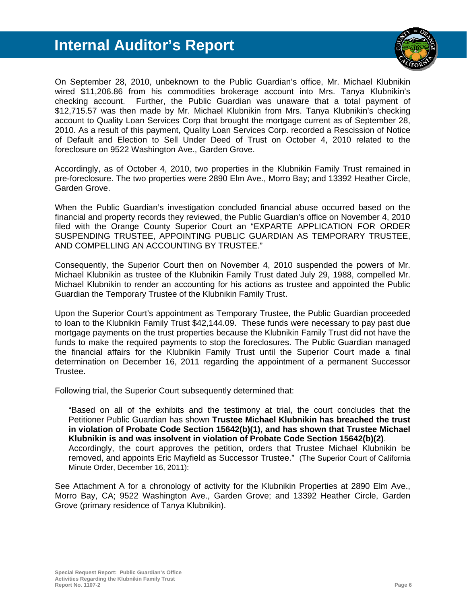

On September 28, 2010, unbeknown to the Public Guardian's office, Mr. Michael Klubnikin wired \$11,206.86 from his commodities brokerage account into Mrs. Tanya Klubnikin's checking account. Further, the Public Guardian was unaware that a total payment of \$12,715.57 was then made by Mr. Michael Klubnikin from Mrs. Tanya Klubnikin's checking account to Quality Loan Services Corp that brought the mortgage current as of September 28, 2010. As a result of this payment, Quality Loan Services Corp. recorded a Rescission of Notice of Default and Election to Sell Under Deed of Trust on October 4, 2010 related to the foreclosure on 9522 Washington Ave., Garden Grove.

Accordingly, as of October 4, 2010, two properties in the Klubnikin Family Trust remained in pre-foreclosure. The two properties were 2890 Elm Ave., Morro Bay; and 13392 Heather Circle, Garden Grove.

When the Public Guardian's investigation concluded financial abuse occurred based on the financial and property records they reviewed, the Public Guardian's office on November 4, 2010 filed with the Orange County Superior Court an "EXPARTE APPLICATION FOR ORDER SUSPENDING TRUSTEE, APPOINTING PUBLIC GUARDIAN AS TEMPORARY TRUSTEE, AND COMPELLING AN ACCOUNTING BY TRUSTEE."

Consequently, the Superior Court then on November 4, 2010 suspended the powers of Mr. Michael Klubnikin as trustee of the Klubnikin Family Trust dated July 29, 1988, compelled Mr. Michael Klubnikin to render an accounting for his actions as trustee and appointed the Public Guardian the Temporary Trustee of the Klubnikin Family Trust.

Upon the Superior Court's appointment as Temporary Trustee, the Public Guardian proceeded to loan to the Klubnikin Family Trust \$42,144.09. These funds were necessary to pay past due mortgage payments on the trust properties because the Klubnikin Family Trust did not have the funds to make the required payments to stop the foreclosures. The Public Guardian managed the financial affairs for the Klubnikin Family Trust until the Superior Court made a final determination on December 16, 2011 regarding the appointment of a permanent Successor Trustee.

Following trial, the Superior Court subsequently determined that:

"Based on all of the exhibits and the testimony at trial, the court concludes that the Petitioner Public Guardian has shown **Trustee Michael Klubnikin has breached the trust in violation of Probate Code Section 15642(b)(1), and has shown that Trustee Michael Klubnikin is and was insolvent in violation of Probate Code Section 15642(b)(2)**. Accordingly, the court approves the petition, orders that Trustee Michael Klubnikin be removed, and appoints Eric Mayfield as Successor Trustee." (The Superior Court of California Minute Order, December 16, 2011):

See Attachment A for a chronology of activity for the Klubnikin Properties at 2890 Elm Ave., Morro Bay, CA; 9522 Washington Ave., Garden Grove; and 13392 Heather Circle, Garden Grove (primary residence of Tanya Klubnikin).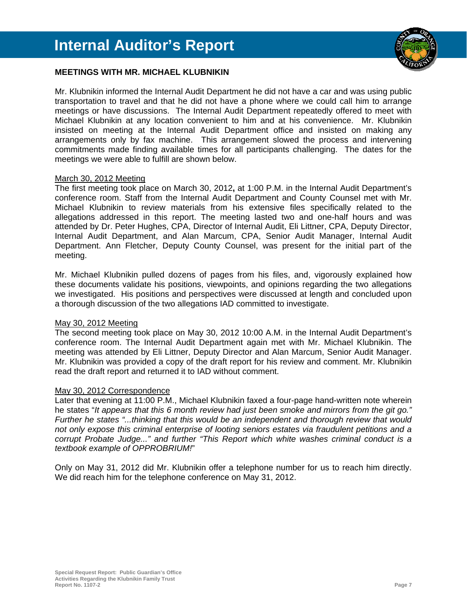

#### **MEETINGS WITH MR. MICHAEL KLUBNIKIN**

Mr. Klubnikin informed the Internal Audit Department he did not have a car and was using public transportation to travel and that he did not have a phone where we could call him to arrange meetings or have discussions. The Internal Audit Department repeatedly offered to meet with Michael Klubnikin at any location convenient to him and at his convenience. Mr. Klubnikin insisted on meeting at the Internal Audit Department office and insisted on making any arrangements only by fax machine. This arrangement slowed the process and intervening commitments made finding available times for all participants challenging. The dates for the meetings we were able to fulfill are shown below.

#### March 30, 2012 Meeting

The first meeting took place on March 30, 2012**,** at 1:00 P.M. in the Internal Audit Department's conference room. Staff from the Internal Audit Department and County Counsel met with Mr. Michael Klubnikin to review materials from his extensive files specifically related to the allegations addressed in this report. The meeting lasted two and one-half hours and was attended by Dr. Peter Hughes, CPA, Director of Internal Audit, Eli Littner, CPA, Deputy Director, Internal Audit Department, and Alan Marcum, CPA, Senior Audit Manager, Internal Audit Department. Ann Fletcher, Deputy County Counsel, was present for the initial part of the meeting.

Mr. Michael Klubnikin pulled dozens of pages from his files, and, vigorously explained how these documents validate his positions, viewpoints, and opinions regarding the two allegations we investigated. His positions and perspectives were discussed at length and concluded upon a thorough discussion of the two allegations IAD committed to investigate.

#### May 30, 2012 Meeting

The second meeting took place on May 30, 2012 10:00 A.M. in the Internal Audit Department's conference room. The Internal Audit Department again met with Mr. Michael Klubnikin. The meeting was attended by Eli Littner, Deputy Director and Alan Marcum, Senior Audit Manager. Mr. Klubnikin was provided a copy of the draft report for his review and comment. Mr. Klubnikin read the draft report and returned it to IAD without comment.

#### May 30, 2012 Correspondence

Later that evening at 11:00 P.M., Michael Klubnikin faxed a four-page hand-written note wherein he states "*It appears that this 6 month review had just been smoke and mirrors from the git go." Further he states "...thinking that this would be an independent and thorough review that would not only expose this criminal enterprise of looting seniors estates via fraudulent petitions and a corrupt Probate Judge..." and further "This Report which white washes criminal conduct is a textbook example of OPPROBRIUM!*"

Only on May 31, 2012 did Mr. Klubnikin offer a telephone number for us to reach him directly. We did reach him for the telephone conference on May 31, 2012.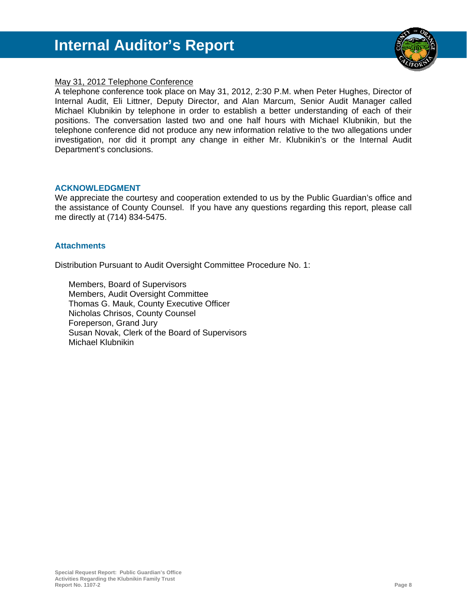

#### May 31, 2012 Telephone Conference

A telephone conference took place on May 31, 2012, 2:30 P.M. when Peter Hughes, Director of Internal Audit, Eli Littner, Deputy Director, and Alan Marcum, Senior Audit Manager called Michael Klubnikin by telephone in order to establish a better understanding of each of their positions. The conversation lasted two and one half hours with Michael Klubnikin, but the telephone conference did not produce any new information relative to the two allegations under investigation, nor did it prompt any change in either Mr. Klubnikin's or the Internal Audit Department's conclusions.

#### **ACKNOWLEDGMENT**

We appreciate the courtesy and cooperation extended to us by the Public Guardian's office and the assistance of County Counsel. If you have any questions regarding this report, please call me directly at (714) 834-5475.

#### **Attachments**

Distribution Pursuant to Audit Oversight Committee Procedure No. 1:

 Members, Board of Supervisors Members, Audit Oversight Committee Thomas G. Mauk, County Executive Officer Nicholas Chrisos, County Counsel Foreperson, Grand Jury Susan Novak, Clerk of the Board of Supervisors Michael Klubnikin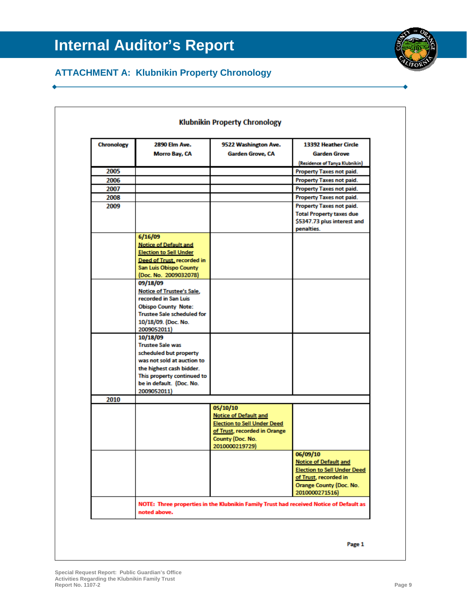

### **ATTACHMENT A: Klubnikin Property Chronology**

| <b>Chronology</b> | <b>2890 Elm Ave.</b><br><b>Morro Bav. CA</b>                                                                                                          | 9522 Washington Ave.<br>Garden Grove, CA                                               | 13392 Heather Circle<br><b>Garden Grove</b><br>(Residence of Tanya Klubnikin)                                   |
|-------------------|-------------------------------------------------------------------------------------------------------------------------------------------------------|----------------------------------------------------------------------------------------|-----------------------------------------------------------------------------------------------------------------|
| 2005              |                                                                                                                                                       |                                                                                        | <b>Property Taxes not paid.</b>                                                                                 |
| 2006              |                                                                                                                                                       |                                                                                        | <b>Property Taxes not paid.</b>                                                                                 |
| 2007              |                                                                                                                                                       |                                                                                        | <b>Property Taxes not paid.</b>                                                                                 |
| 2008              |                                                                                                                                                       |                                                                                        | <b>Property Taxes not paid.</b>                                                                                 |
| 2009              |                                                                                                                                                       |                                                                                        | <b>Property Taxes not paid.</b><br><b>Total Property taxes due</b><br>\$5347.73 plus interest and<br>penalties. |
|                   | 6/16/09                                                                                                                                               |                                                                                        |                                                                                                                 |
|                   | <b>Notice of Default and</b><br><b>Election to Sell Under</b><br>Deed of Trust, recorded in<br><b>San Luis Obispo County</b><br>(Doc. No. 2009032078) |                                                                                        |                                                                                                                 |
|                   | 09/18/09                                                                                                                                              |                                                                                        |                                                                                                                 |
|                   | Notice of Trustee's Sale,<br>recorded in San Luis                                                                                                     |                                                                                        |                                                                                                                 |
|                   | <b>Obispo County Note:</b>                                                                                                                            |                                                                                        |                                                                                                                 |
|                   | <b>Trustee Sale scheduled for</b>                                                                                                                     |                                                                                        |                                                                                                                 |
|                   | 10/18/09. (Doc. No.                                                                                                                                   |                                                                                        |                                                                                                                 |
|                   | 2009052011)<br>10/18/09                                                                                                                               |                                                                                        |                                                                                                                 |
|                   | <b>Trustee Sale was</b>                                                                                                                               |                                                                                        |                                                                                                                 |
|                   | scheduled but property                                                                                                                                |                                                                                        |                                                                                                                 |
|                   | was not sold at auction to                                                                                                                            |                                                                                        |                                                                                                                 |
|                   | the highest cash bidder.                                                                                                                              |                                                                                        |                                                                                                                 |
|                   | This property continued to                                                                                                                            |                                                                                        |                                                                                                                 |
|                   | be in default. (Doc. No.<br>2009052011)                                                                                                               |                                                                                        |                                                                                                                 |
| 2010              |                                                                                                                                                       |                                                                                        |                                                                                                                 |
|                   |                                                                                                                                                       | 05/10/10                                                                               |                                                                                                                 |
|                   |                                                                                                                                                       | <b>Notice of Default and</b>                                                           |                                                                                                                 |
|                   |                                                                                                                                                       | <b>Election to Sell Under Deed</b>                                                     |                                                                                                                 |
|                   |                                                                                                                                                       | of Trust, recorded in Orange                                                           |                                                                                                                 |
|                   |                                                                                                                                                       | County (Doc. No.<br>2010000219729)                                                     |                                                                                                                 |
|                   |                                                                                                                                                       |                                                                                        | 06/09/10                                                                                                        |
|                   |                                                                                                                                                       |                                                                                        | <b>Notice of Default and</b><br><b>Election to Sell Under Deed</b>                                              |
|                   |                                                                                                                                                       |                                                                                        | of Trust, recorded in                                                                                           |
|                   |                                                                                                                                                       |                                                                                        | Orange County (Doc. No.<br>2010000271516)                                                                       |
|                   |                                                                                                                                                       | NOTE: Three properties in the Klubnikin Family Trust had received Notice of Default as |                                                                                                                 |

Page 1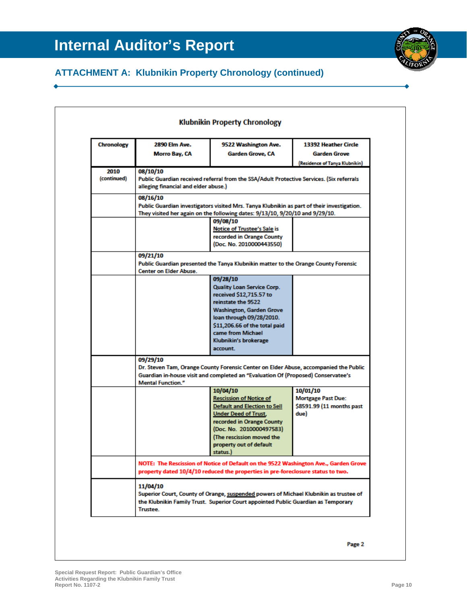## **ATTACHMENT A: Klubnikin Property Chronology (continued)**

| <b>Chronology</b>   | <b>2890 Elm Ave.</b><br>Morro Bay, CA                                                                                                                                                                            | 9522 Washington Ave.<br><b>Garden Grove, CA</b>                                                                                                                                                                                                          | 13392 Heather Circle<br>Garden Grove<br>(Residence of Tanya Klubnikin)     |
|---------------------|------------------------------------------------------------------------------------------------------------------------------------------------------------------------------------------------------------------|----------------------------------------------------------------------------------------------------------------------------------------------------------------------------------------------------------------------------------------------------------|----------------------------------------------------------------------------|
| 2010<br>(continued) | 08/10/10<br>Public Guardian received referral from the SSA/Adult Protective Services. (Six referrals<br>alleging financial and elder abuse.)                                                                     |                                                                                                                                                                                                                                                          |                                                                            |
|                     | 08/16/10<br>Public Guardian investigators visited Mrs. Tanya Klubnikin as part of their investigation.<br>They visited her again on the following dates: 9/13/10, 9/20/10 and 9/29/10.                           |                                                                                                                                                                                                                                                          |                                                                            |
|                     |                                                                                                                                                                                                                  | 09/08/10<br><b>Notice of Trustee's Sale is</b><br>recorded in Orange County<br>(Doc. No. 2010000443550)                                                                                                                                                  |                                                                            |
|                     | 09/21/10<br>Public Guardian presented the Tanya Klubnikin matter to the Orange County Forensic<br><b>Center on Elder Abuse.</b>                                                                                  |                                                                                                                                                                                                                                                          |                                                                            |
|                     |                                                                                                                                                                                                                  | 09/28/10<br><b>Quality Loan Service Corp.</b><br>received \$12,715.57 to<br>reinstate the 9522<br><b>Washington, Garden Grove</b><br>loan through 09/28/2010.<br>\$11,206.66 of the total paid<br>came from Michael<br>Klubnikin's brokerage<br>account. |                                                                            |
|                     | 09/29/10<br>Dr. Steven Tam, Orange County Forensic Center on Elder Abuse, accompanied the Public<br>Guardian in-house visit and completed an "Evaluation Of (Proposed) Conservatee's<br><b>Mental Function."</b> |                                                                                                                                                                                                                                                          |                                                                            |
|                     |                                                                                                                                                                                                                  | 10/04/10<br><b>Rescission of Notice of</b><br><b>Default and Election to Sell</b><br><b>Under Deed of Trust,</b><br>recorded in Orange County<br>(Doc. No. 2010000497583)<br>The rescission moved the<br>property out of default<br>status.)             | 10/01/10<br><b>Mortgage Past Due:</b><br>\$8591.99 (11 months past<br>due) |
|                     | NOTE: The Rescission of Notice of Default on the 9522 Washington Ave., Garden Grove<br>property dated 10/4/10 reduced the properties in pre-foreclosure status to two.                                           |                                                                                                                                                                                                                                                          |                                                                            |
|                     | 11/04/10<br><b>Trustee.</b>                                                                                                                                                                                      | Superior Court, County of Orange, suspended powers of Michael Klubnikin as trustee of<br>the Klubnikin Family Trust. Superior Court appointed Public Guardian as Temporary                                                                               |                                                                            |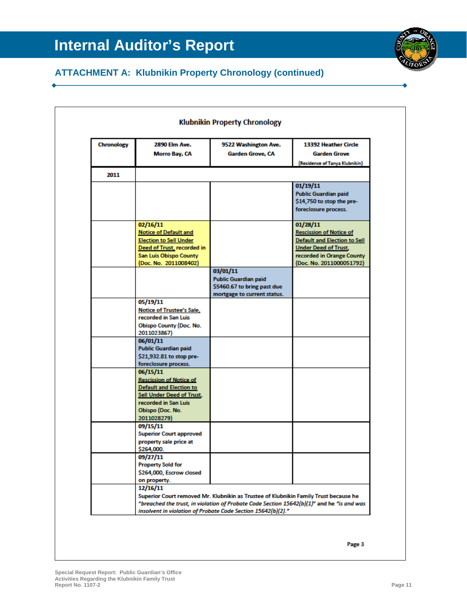## **ATTACHMENT A: Klubnikin Property Chronology (continued)**

| <b>Chronology</b> | <b>2890 Elm Ave.</b><br>Morro Bay, CA                                                                                                                                       | 9522 Washington Ave.<br>Garden Grove, CA                                                                                                                                                                                                          | 13392 Heather Circle<br><b>Garden Grove</b><br>(Residence of Tanya Klubnikin)                                                                                             |
|-------------------|-----------------------------------------------------------------------------------------------------------------------------------------------------------------------------|---------------------------------------------------------------------------------------------------------------------------------------------------------------------------------------------------------------------------------------------------|---------------------------------------------------------------------------------------------------------------------------------------------------------------------------|
| 2011              |                                                                                                                                                                             |                                                                                                                                                                                                                                                   |                                                                                                                                                                           |
|                   |                                                                                                                                                                             |                                                                                                                                                                                                                                                   | 01/19/11<br><b>Public Guardian paid</b><br>\$14,750 to stop the pre-<br>foreclosure process.                                                                              |
|                   | 02/16/11<br><b>Notice of Default and</b><br><b>Election to Sell Under</b><br>Deed of Trust, recorded in<br><b>San Luis Obispo County</b><br>(Doc. No. 2011008402)           |                                                                                                                                                                                                                                                   | 01/28/11<br><b>Rescission of Notice of</b><br><b>Default and Election to Sell</b><br><b>Under Deed of Trust,</b><br>recorded in Orange County<br>(Doc. No. 2011000051792) |
|                   |                                                                                                                                                                             | 03/01/11<br><b>Public Guardian paid</b><br>\$5460.67 to bring past due<br>mortgage to current status.                                                                                                                                             |                                                                                                                                                                           |
|                   | 05/19/11<br>Notice of Trustee's Sale,<br>recorded in San Luis<br><b>Obispo County (Doc. No.</b><br>2011023867)                                                              |                                                                                                                                                                                                                                                   |                                                                                                                                                                           |
|                   | 06/01/11<br><b>Public Guardian paid</b><br>\$21,932.81 to stop pre-<br>foreclosure process.                                                                                 |                                                                                                                                                                                                                                                   |                                                                                                                                                                           |
|                   | 06/15/11<br><b>Rescission of Notice of</b><br><b>Default and Election to</b><br><b>Sell Under Deed of Trust,</b><br>recorded in San Luis<br>Obispo (Doc. No.<br>2011028279) |                                                                                                                                                                                                                                                   |                                                                                                                                                                           |
|                   | 09/15/11<br><b>Superior Court approved</b><br>property sale price at<br>\$264,000.                                                                                          |                                                                                                                                                                                                                                                   |                                                                                                                                                                           |
|                   | 09/27/11<br><b>Property Sold for</b><br>\$264,000, Escrow closed<br>on property.                                                                                            |                                                                                                                                                                                                                                                   |                                                                                                                                                                           |
|                   | 12/16/11                                                                                                                                                                    | Superior Court removed Mr. Klubnikin as Trustee of Klubnikin Family Trust because he<br>"breached the trust, in violation of Probate Code Section 15642(b)(1)" and he "is and was<br>insolvent in violation of Probate Code Section 15642(b)(2)." |                                                                                                                                                                           |

Page 3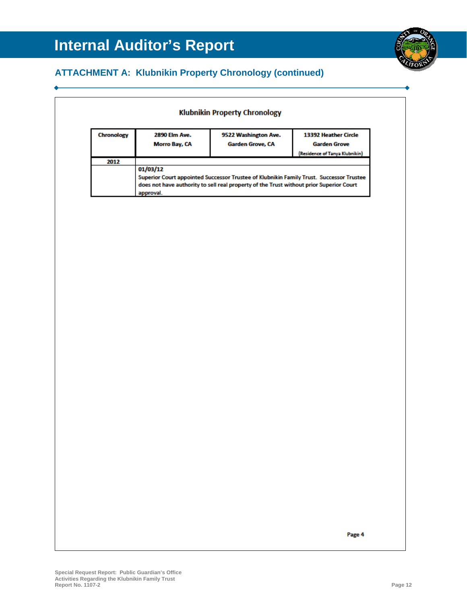### **ATTACHMENT A: Klubnikin Property Chronology (continued)**

| 2012<br>01/03/12<br>does not have authority to sell real property of the Trust without prior Superior Court<br>approval. | (Residence of Tanya Klubnikin)                                                          | 2890 Elm Ave.<br>9522 Washington Ave.<br>Morro Bay, CA<br>Garden Grove, CA |  | 13392 Heather Circle<br><b>Garden Grove</b> |
|--------------------------------------------------------------------------------------------------------------------------|-----------------------------------------------------------------------------------------|----------------------------------------------------------------------------|--|---------------------------------------------|
|                                                                                                                          |                                                                                         |                                                                            |  |                                             |
|                                                                                                                          | Superior Court appointed Successor Trustee of Klubnikin Family Trust. Successor Trustee |                                                                            |  |                                             |
|                                                                                                                          |                                                                                         |                                                                            |  |                                             |
|                                                                                                                          |                                                                                         |                                                                            |  |                                             |
|                                                                                                                          |                                                                                         |                                                                            |  |                                             |
|                                                                                                                          |                                                                                         |                                                                            |  |                                             |
|                                                                                                                          |                                                                                         |                                                                            |  |                                             |
|                                                                                                                          |                                                                                         |                                                                            |  |                                             |
|                                                                                                                          |                                                                                         |                                                                            |  |                                             |
|                                                                                                                          |                                                                                         |                                                                            |  |                                             |
|                                                                                                                          |                                                                                         |                                                                            |  |                                             |
|                                                                                                                          |                                                                                         |                                                                            |  |                                             |
|                                                                                                                          |                                                                                         |                                                                            |  |                                             |
|                                                                                                                          |                                                                                         |                                                                            |  |                                             |
|                                                                                                                          |                                                                                         |                                                                            |  |                                             |
|                                                                                                                          |                                                                                         |                                                                            |  |                                             |
|                                                                                                                          |                                                                                         |                                                                            |  |                                             |
|                                                                                                                          |                                                                                         |                                                                            |  |                                             |
|                                                                                                                          |                                                                                         |                                                                            |  |                                             |
|                                                                                                                          |                                                                                         |                                                                            |  |                                             |
|                                                                                                                          |                                                                                         |                                                                            |  |                                             |
|                                                                                                                          |                                                                                         |                                                                            |  |                                             |
|                                                                                                                          |                                                                                         |                                                                            |  |                                             |
|                                                                                                                          |                                                                                         |                                                                            |  |                                             |
|                                                                                                                          |                                                                                         |                                                                            |  |                                             |
|                                                                                                                          |                                                                                         |                                                                            |  |                                             |
|                                                                                                                          |                                                                                         |                                                                            |  |                                             |
|                                                                                                                          |                                                                                         |                                                                            |  |                                             |
|                                                                                                                          |                                                                                         |                                                                            |  |                                             |
|                                                                                                                          |                                                                                         |                                                                            |  |                                             |
|                                                                                                                          |                                                                                         |                                                                            |  |                                             |
|                                                                                                                          |                                                                                         |                                                                            |  |                                             |
|                                                                                                                          |                                                                                         |                                                                            |  |                                             |
|                                                                                                                          |                                                                                         |                                                                            |  |                                             |
|                                                                                                                          |                                                                                         |                                                                            |  |                                             |
|                                                                                                                          |                                                                                         |                                                                            |  |                                             |
|                                                                                                                          |                                                                                         |                                                                            |  |                                             |
|                                                                                                                          |                                                                                         |                                                                            |  |                                             |
|                                                                                                                          |                                                                                         |                                                                            |  |                                             |
|                                                                                                                          |                                                                                         |                                                                            |  |                                             |
|                                                                                                                          |                                                                                         |                                                                            |  |                                             |
|                                                                                                                          |                                                                                         |                                                                            |  |                                             |
|                                                                                                                          | Page 4                                                                                  |                                                                            |  |                                             |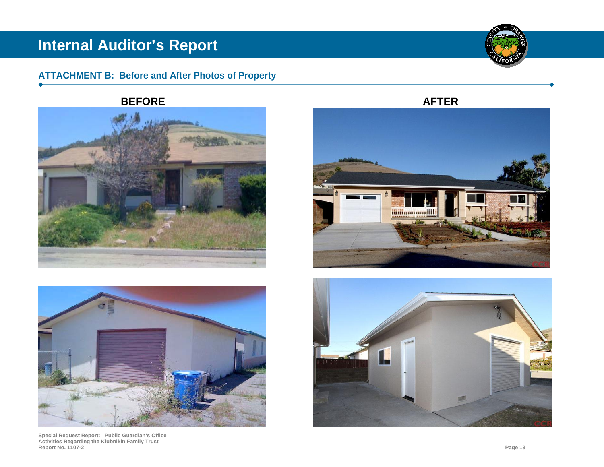### **ATTACHMENT B: Before and After Photos of Property**

**BEFORE**





**Special Request Report: Public Guardian's Office Activities Regarding the Klubnikin Family Trust Report No. 1107-2 Page 13** 







**AFTER**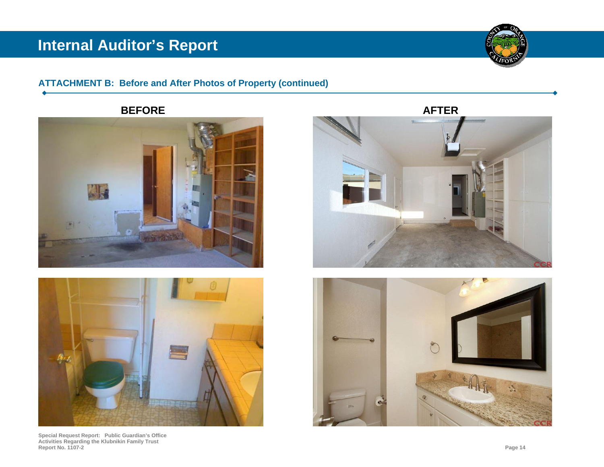

### **ATTACHMENT B: Before and After Photos of Property (continued)**

**BEFORE**





**Special Request Report: Public Guardian's Office Activities Regarding the Klubnikin Family Trust Report No. 1107-2 Page 14** 



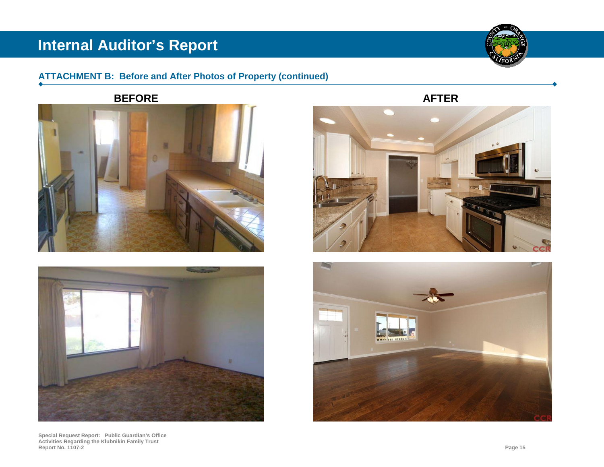### **ATTACHMENT B: Before and After Photos of Property (continued)**

**BEFORE**





**Special Request Report: Public Guardian's Office Activities Regarding the Klubnikin Family Trust Report No. 1107-2 Page 15**